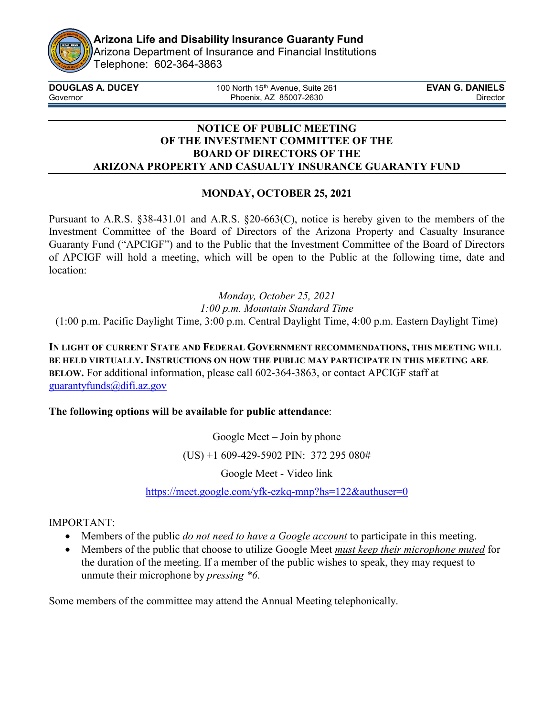

Arizona Department of Insurance and Financial Institutions Telephone: 602-364-3863

| <b>DOUGLAS A. DUCEY</b> | 100 North 15 <sup>th</sup> Avenue, Suite 261 | <b>EVAN G. DANIELS</b> |
|-------------------------|----------------------------------------------|------------------------|
| Governor                | Phoenix, AZ 85007-2630                       | <b>Director</b>        |
|                         |                                              |                        |

### **NOTICE OF PUBLIC MEETING OF THE INVESTMENT COMMITTEE OF THE BOARD OF DIRECTORS OF THE ARIZONA PROPERTY AND CASUALTY INSURANCE GUARANTY FUND**

## **MONDAY, OCTOBER 25, 2021**

Pursuant to A.R.S. §38-431.01 and A.R.S. §20-663(C), notice is hereby given to the members of the Investment Committee of the Board of Directors of the Arizona Property and Casualty Insurance Guaranty Fund ("APCIGF") and to the Public that the Investment Committee of the Board of Directors of APCIGF will hold a meeting, which will be open to the Public at the following time, date and location:

*Monday, October 25, 2021 1:00 p.m. Mountain Standard Time* (1:00 p.m. Pacific Daylight Time, 3:00 p.m. Central Daylight Time, 4:00 p.m. Eastern Daylight Time)

**IN LIGHT OF CURRENT STATE AND FEDERAL GOVERNMENT RECOMMENDATIONS, THIS MEETING WILL BE HELD VIRTUALLY. INSTRUCTIONS ON HOW THE PUBLIC MAY PARTICIPATE IN THIS MEETING ARE BELOW.** For additional information, please call 602-364-3863, or contact APCIGF staff at [guarantyfunds@difi.az.gov](mailto:guarantyfunds@azinsurance.gov)

## **The following options will be available for public attendance**:

Google Meet – Join by phone

(US) +1 609-429-5902 PIN: 372 295 080#

Google Meet - Video link

<https://meet.google.com/yfk-ezkq-mnp?hs=122&authuser=0>

## IMPORTANT:

- Members of the public *do not need to have a Google account* to participate in this meeting.
- Members of the public that choose to utilize Google Meet *must keep their microphone muted* for the duration of the meeting. If a member of the public wishes to speak, they may request to unmute their microphone by *pressing \*6*.

Some members of the committee may attend the Annual Meeting telephonically.